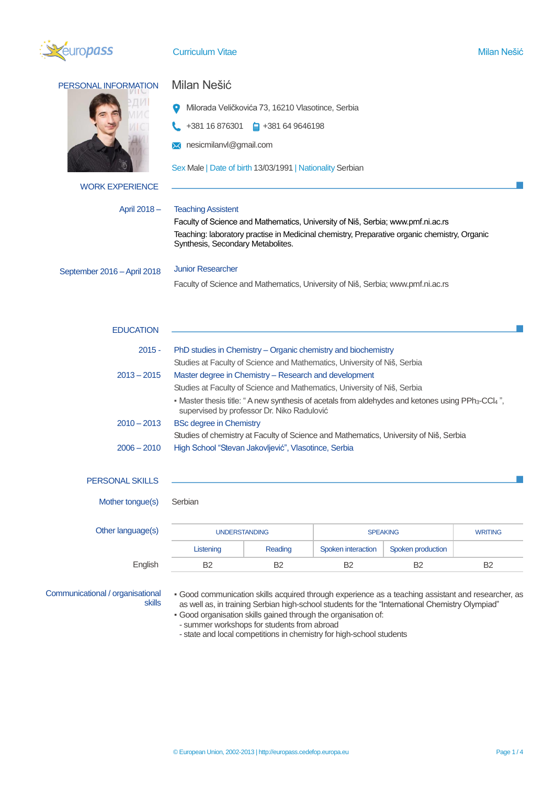

**Curriculum Vitae Milan Nešić (1999)** Milan Nešić (1999) Milan Nešić (1999) Milan Nešić (1999) Milan Nešić (1999)

| PERSONAL INFORMATION        | Milan Nešić                                                                                                                                                |
|-----------------------------|------------------------------------------------------------------------------------------------------------------------------------------------------------|
|                             | Milorada Veličkovića 73, 16210 Vlasotince, Serbia                                                                                                          |
|                             | +381 16 876301<br>$\frac{1}{2}$ +381 64 9646198                                                                                                            |
|                             | <b>X</b> nesicmilanvl@gmail.com                                                                                                                            |
|                             |                                                                                                                                                            |
|                             | Sex Male   Date of birth 13/03/1991   Nationality Serbian                                                                                                  |
| <b>WORK EXPERIENCE</b>      |                                                                                                                                                            |
| April 2018-                 | <b>Teaching Assistent</b>                                                                                                                                  |
|                             | Faculty of Science and Mathematics, University of Niš, Serbia; www.pmf.ni.ac.rs                                                                            |
|                             | Teaching: laboratory practise in Medicinal chemistry, Preparative organic chemistry, Organic<br>Synthesis, Secondary Metabolites.                          |
| September 2016 - April 2018 | <b>Junior Researcher</b>                                                                                                                                   |
|                             | Faculty of Science and Mathematics, University of Niš, Serbia; www.pmf.ni.ac.rs                                                                            |
|                             |                                                                                                                                                            |
| <b>EDUCATION</b>            |                                                                                                                                                            |
| $2015 -$                    | PhD studies in Chemistry – Organic chemistry and biochemistry                                                                                              |
|                             | Studies at Faculty of Science and Mathematics, University of Niš, Serbia                                                                                   |
| $2013 - 2015$               | Master degree in Chemistry - Research and development                                                                                                      |
|                             | Studies at Faculty of Science and Mathematics, University of Niš, Serbia                                                                                   |
|                             | - Master thesis title: "A new synthesis of acetals from aldehydes and ketones using PPh <sub>3</sub> -CCl4",<br>supervised by professor Dr. Niko Radulović |
| $2010 - 2013$               | <b>BSc degree in Chemistry</b>                                                                                                                             |
|                             | Studies of chemistry at Faculty of Science and Mathematics, University of Niš, Serbia                                                                      |
| $2006 - 2010$               | High School "Stevan Jakovljević", Vlasotince, Serbia                                                                                                       |
| <b>PERSONAL SKILLS</b>      |                                                                                                                                                            |

Mother tongue(s) Serbian

| Other language(s) | <b>UNDERSTANDING</b> |         | <b>SPEAKING</b>    |                   | <b>WRITING</b> |
|-------------------|----------------------|---------|--------------------|-------------------|----------------|
|                   | Listening            | Reading | Spoken interaction | Spoken production |                |
| English           | B <sub>2</sub>       | B2      | B <sub>2</sub>     | B2                | B <sub>2</sub> |

Communicational / organisational skills

▪ Good communication skills acquired through experience as a teaching assistant and researcher, as as well as, in training Serbian high-school students for the "International Chemistry Olympiad"

▪ Good organisation skills gained through the organisation of:

- summer workshops for students from abroad

- state and local competitions in chemistry for high-school students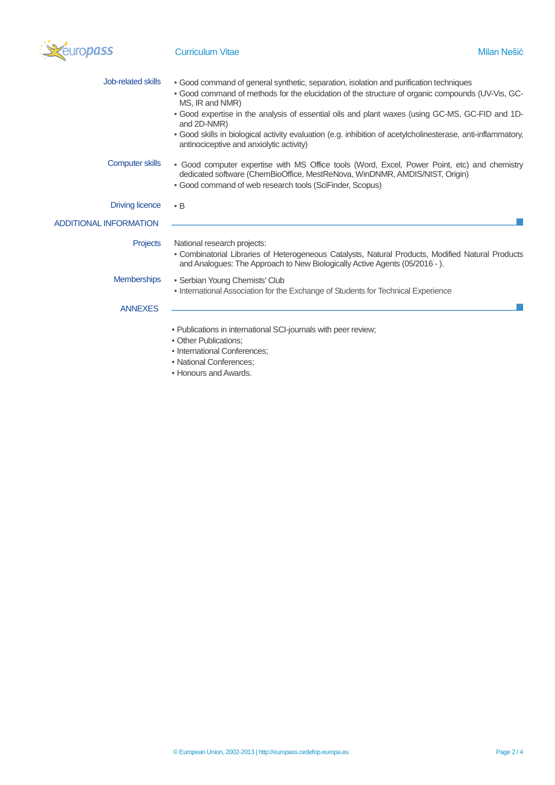

| Job-related skills     | • Good command of general synthetic, separation, isolation and purification techniques<br>- Good command of methods for the elucidation of the structure of organic compounds (UV-Vis, GC-                                              |
|------------------------|-----------------------------------------------------------------------------------------------------------------------------------------------------------------------------------------------------------------------------------------|
|                        | MS, IR and NMR)<br>- Good expertise in the analysis of essential oils and plant waxes (using GC-MS, GC-FID and 1D-<br>and 2D-NMR)                                                                                                       |
|                        | . Good skills in biological activity evaluation (e.g. inhibition of acetylcholinesterase, anti-inflammatory,<br>antinociceptive and anxiolytic activity)                                                                                |
| <b>Computer skills</b> | - Good computer expertise with MS Office tools (Word, Excel, Power Point, etc) and chemistry<br>dedicated software (ChemBioOffice, MestReNova, WinDNMR, AMDIS/NIST, Origin)<br>• Good command of web research tools (SciFinder, Scopus) |
| <b>Driving licence</b> | $\cdot$ B                                                                                                                                                                                                                               |
| ADDITIONAL INFORMATION |                                                                                                                                                                                                                                         |
| <b>Projects</b>        | National research projects:<br>- Combinatorial Libraries of Heterogeneous Catalysts, Natural Products, Modified Natural Products<br>and Analogues: The Approach to New Biologically Active Agents (05/2016 - ).                         |
| <b>Memberships</b>     | • Serbian Young Chemists' Club                                                                                                                                                                                                          |
| <b>ANNEXES</b>         | • International Association for the Exchange of Students for Technical Experience                                                                                                                                                       |
|                        | - Publications in international SCI-journals with peer review;<br>• Other Publications:<br>• International Conferences:<br>• National Conferences:<br>. Honoure and Awarde                                                              |

▪ Honours and Awards.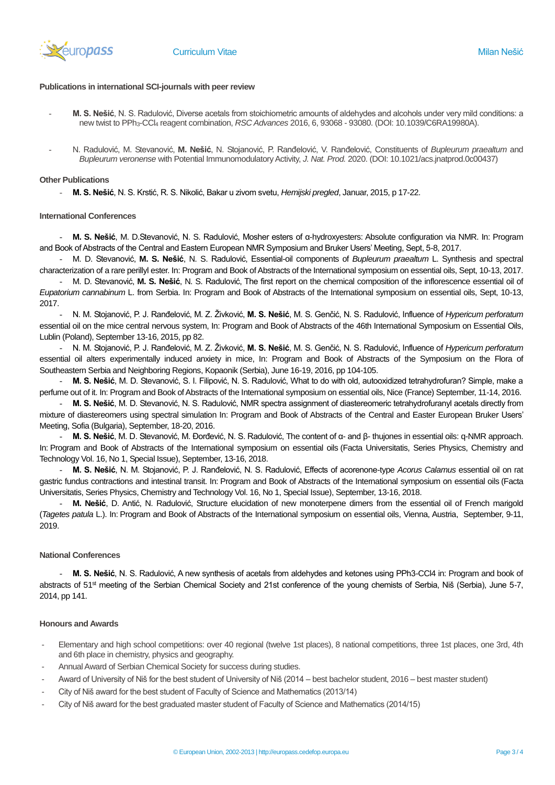

# **Publications in international SCI-journals with peer review**

- **M. S. Nešić**, N. S. Radulović, Diverse acetals from stoichiometric amounts of aldehydes and alcohols under very mild conditions: a new twist to PPh3-CCl<sup>4</sup> reagent combination, *RSC Advances* 2016, 6, 93068 - 93080. (DOI: 10.1039/C6RA19980A).
- N. Radulović, M. Stevanović, **M. Nešić**, N. Stojanović, P. Ranđelović, V. Ranđelović, Constituents of *Bupleurum praealtum* and *Bupleurum veronense* with Potential Immunomodulatory Activity, *J. Nat. Prod.* 2020. (DOI: 10.1021/acs.jnatprod.0c00437)

#### **Other Publications**

- **M. S. Nešić**, N. S. Krstić, R. S. Nikolić, Bakar u zivom svetu, *Hemijski pregled*, Januar, 2015, p 17-22.

### **International Conferences**

- **M. S. Nešić**, M. D.Stevanović, N. S. Radulović, Мosher esters of α-hydroxyesters: Absolute configuration via NMR. In: Program and Book of Abstracts of the Central and Eastern European NMR Symposium and Bruker Users' Meeting, Sept, 5-8, 2017.

- M. D. Stevanović, **M. S. Nešić**, N. S. Radulović, Essential-oil components of *Bupleurum praealtum* L. Synthesis and spectral characterization of a rare perillyl ester. In: Program and Book of Abstracts of the International symposium on essential oils, Sept, 10-13, 2017.

- M. D. Stevanović, **M. S. Nešić**, N. S. Radulović, The first report on the chemical composition of the inflorescence essential oil of *Eupatorium cannabinum* L. from Serbia. In: Program and Book of Abstracts of the International symposium on essential oils, Sept, 10-13, 2017.

- N. M. Stojanović, P. J. Ranđelović, M. Z. Živković, **M. S. Nešić**, M. S. Genčić, N. S. Radulović, Influence of *Hypericum perforatum* essential oil on the mice central nervous system, In: Program and Book of Abstracts of the 46th International Symposium on Essential Oils, Lublin (Poland), September 13-16, 2015, pp 82.

- N. M. Stojanović, P. J. Ranđelović, M. Z. Živković, **M. S. Nešić**, M. S. Genčić, N. S. Radulović, Influence of *Hypericum perforatum* essential oil alters experimentally induced anxiety in mice, In: Program and Book of Abstracts of the Symposium on the Flora of Southeastern Serbia and Neighboring Regions, Kopaonik (Serbia), June 16-19, 2016, pp 104-105.

- **M. S. Nešić**, M. D. Stevanović, S. I. Filipović, N. S. Radulović, What to do with old, autooxidized tetrahydrofuran? Simple, make a perfume out of it. In: Program and Book of Abstracts of the International symposium on essential oils, Nice (France) September, 11-14, 2016.

- **M. S. Nešić**, M. D. Stevanović, N. S. Radulović, NMR spectra assignment of diastereomeric tetrahydrofuranyl acetals directly from mixture of diastereomers using spectral simulation In: Program and Book of Abstracts of the Central and Easter European Bruker Users' Meeting, Sofia (Bulgaria), September, 18-20, 2016.

- **M. S. Nešić**, M. D. Stevanović, M. Đorđević, N. S. Radulović, The content of α- and β- thujones in essential oils: q-NMR approach. In: Program and Book of Abstracts of the International symposium on essential oils (Facta Universitatis, Series Physics, Chemistry and Technology Vol. 16, No 1, Special Issue), September, 13-16, 2018.

- **M. S. Nešić**, N. M. Stojanović, P. J. Ranđelović, N. S. Radulović, Effects of acorenone-type *Acorus Calamus* essential oil on rat gastric fundus contractions and intestinal transit. In: Program and Book of Abstracts of the International symposium on essential oils (Facta Universitatis, Series Physics, Chemistry and Technology Vol. 16, No 1, Special Issue), September, 13-16, 2018.

- **M. Nešić**, D. Antić, N. Radulović, Structure elucidation of new monoterpene dimers from the essential oil of French marigold (*Tagetes patula* L.). In: Program and Book of Abstracts of the International symposium on essential oils, Vienna, Austria, September, 9-11, 2019.

# **National Conferences**

- **M. S. Nešić**, N. S. Radulović, A new synthesis of acetals from aldehydes and ketones using PPh3-CCl4 in: Program and book of abstracts of 51<sup>st</sup> meeting of the Serbian Chemical Society and 21st conference of the young chemists of Serbia, Niš (Serbia), June 5-7, 2014, pp 141.

# **Honours and Awards**

- Elementary and high school competitions: over 40 regional (twelve 1st places), 8 national competitions, three 1st places, one 3rd, 4th and 6th place in chemistry, physics and geography.
- Annual Award of Serbian Chemical Society for success during studies.
- Award of University of Niš for the best student of University of Niš (2014 best bachelor student, 2016 best master student)
- City of Niš award for the best student of Faculty of Science and Mathematics (2013/14)
- City of Niš award for the best graduated master student of Faculty of Science and Mathematics (2014/15)